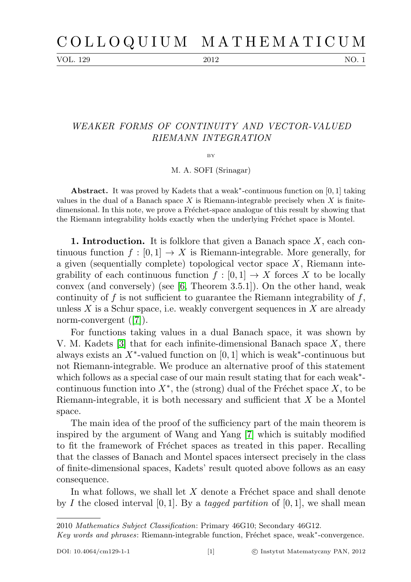VOL. 129 2012 NO. 1

## WEAKER FORMS OF CONTINUITY AND VECTOR-VALUED RIEMANN INTEGRATION

BY

M. A. SOFI (Srinagar)

Abstract. It was proved by Kadets that a weak<sup>\*</sup>-continuous function on  $[0, 1]$  taking values in the dual of a Banach space  $X$  is Riemann-integrable precisely when  $X$  is finitedimensional. In this note, we prove a Fréchet-space analogue of this result by showing that the Riemann integrability holds exactly when the underlying Fréchet space is Montel.

**1. Introduction.** It is folklore that given a Banach space  $X$ , each continuous function  $f : [0, 1] \to X$  is Riemann-integrable. More generally, for a given (sequentially complete) topological vector space  $X$ , Riemann integrability of each continuous function  $f : [0,1] \to X$  forces X to be locally convex (and conversely) (see [\[6,](#page-5-0) Theorem 3.5.1]). On the other hand, weak continuity of  $f$  is not sufficient to guarantee the Riemann integrability of  $f$ , unless  $X$  is a Schur space, i.e. weakly convergent sequences in  $X$  are already norm-convergent ([\[7\]](#page-5-1)).

For functions taking values in a dual Banach space, it was shown by V. M. Kadets  $[3]$  that for each infinite-dimensional Banach space X, there always exists an  $X^*$ -valued function on [0, 1] which is weak<sup>\*</sup>-continuous but not Riemann-integrable. We produce an alternative proof of this statement which follows as a special case of our main result stating that for each weak<sup>\*</sup>continuous function into  $X^*$ , the (strong) dual of the Fréchet space  $X$ , to be Riemann-integrable, it is both necessary and sufficient that X be a Montel space.

The main idea of the proof of the sufficiency part of the main theorem is inspired by the argument of Wang and Yang [\[7\]](#page-5-1) which is suitably modified to fit the framework of Fréchet spaces as treated in this paper. Recalling that the classes of Banach and Montel spaces intersect precisely in the class of finite-dimensional spaces, Kadets' result quoted above follows as an easy consequence.

In what follows, we shall let  $X$  denote a Fréchet space and shall denote by I the closed interval [0, 1]. By a tagged partition of [0, 1], we shall mean

<sup>2010</sup> Mathematics Subject Classification: Primary 46G10; Secondary 46G12.

Key words and phrases: Riemann-integrable function, Fréchet space, weak\*-convergence.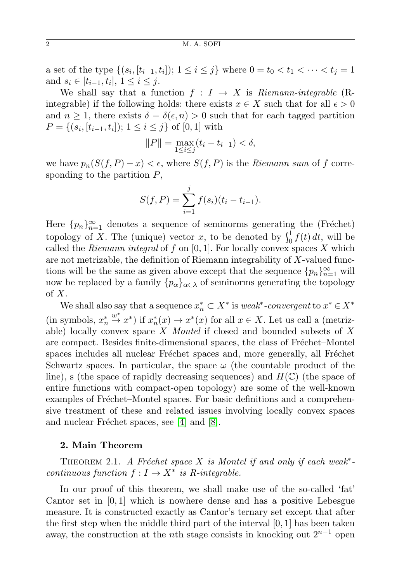a set of the type  $\{(s_i, [t_{i-1}, t_i]); 1 \le i \le j\}$  where  $0 = t_0 < t_1 < \cdots < t_j = 1$ and  $s_i \in [t_{i-1}, t_i], 1 \le i \le j$ .

We shall say that a function  $f : I \to X$  is Riemann-integrable (Rintegrable) if the following holds: there exists  $x \in X$  such that for all  $\epsilon > 0$ and  $n \geq 1$ , there exists  $\delta = \delta(\epsilon, n) > 0$  such that for each tagged partition  $P = \{(s_i, [t_{i-1}, t_i]); 1 \le i \le j\} \text{ of } [0, 1] \text{ with }$ 

$$
||P|| = \max_{1 \le i \le j} (t_i - t_{i-1}) < \delta,
$$

we have  $p_n(S(f, P) - x) < \epsilon$ , where  $S(f, P)$  is the Riemann sum of f corresponding to the partition  $P$ ,

$$
S(f, P) = \sum_{i=1}^{j} f(s_i)(t_i - t_{i-1}).
$$

Here  ${p_n}_{n=1}^{\infty}$  denotes a sequence of seminorms generating the (Fréchet) topology of X. The (unique) vector x, to be denoted by  $\int_0^1 f(t) dt$ , will be called the Riemann integral of f on  $[0, 1]$ . For locally convex spaces X which are not metrizable, the definition of Riemann integrability of X-valued functions will be the same as given above except that the sequence  ${p_n}_{n=1}^{\infty}$  will now be replaced by a family  $\{p_{\alpha}\}_{{\alpha}\in{\lambda}}$  of seminorms generating the topology of  $X$ .

We shall also say that a sequence  $x_n^* \subset X^*$  is *weak<sup>\*</sup>*-convergent to  $x^* \in X^*$ (in symbols,  $x_n^*$  $\stackrel{w^*}{\to} x^*$ ) if  $x_n^*(x)$  →  $x^*(x)$  for all  $x \in X$ . Let us call a (metrizable) locally convex space X Montel if closed and bounded subsets of X are compact. Besides finite-dimensional spaces, the class of Fréchet–Montel spaces includes all nuclear Fréchet spaces and, more generally, all Fréchet Schwartz spaces. In particular, the space  $\omega$  (the countable product of the line), s (the space of rapidly decreasing sequences) and  $H(\mathbb{C})$  (the space of entire functions with compact-open topology) are some of the well-known examples of Fréchet–Montel spaces. For basic definitions and a comprehensive treatment of these and related issues involving locally convex spaces and nuclear Fréchet spaces, see  $[4]$  and  $[8]$ .

## 2. Main Theorem

<span id="page-1-0"></span>THEOREM 2.1. A Fréchet space X is Montel if and only if each weak<sup>\*</sup>continuous function  $f: I \to X^*$  is R-integrable.

In our proof of this theorem, we shall make use of the so-called 'fat' Cantor set in  $[0, 1]$  which is nowhere dense and has a positive Lebesgue measure. It is constructed exactly as Cantor's ternary set except that after the first step when the middle third part of the interval [0, 1] has been taken away, the construction at the *n*th stage consists in knocking out  $2^{n-1}$  open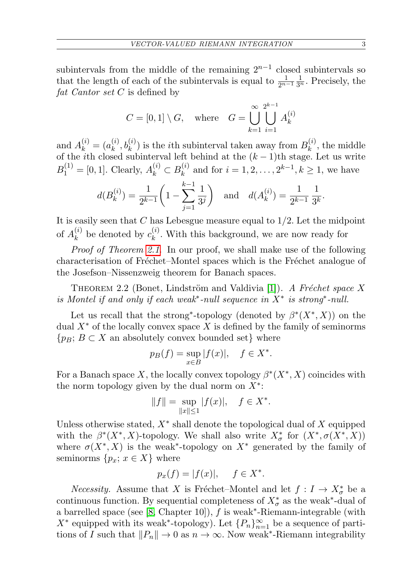subintervals from the middle of the remaining  $2^{n-1}$  closed subintervals so that the length of each of the subintervals is equal to  $\frac{1}{2^{n-1}}\frac{1}{3^n}$ . Precisely, the fat Cantor set C is defined by

$$
C = [0, 1] \setminus G
$$
, where  $G = \bigcup_{k=1}^{\infty} \bigcup_{i=1}^{2^{k-1}} A_k^{(i)}$ 

and  $A_k^{(i)} = (a_k^{(i)}$  $(k, b_k^{(i)})$  is the *i*<sup>th</sup> subinterval taken away from  $B_k^{(i)}$  $\mathbf{R}_k^{(i)}$ , the middle of the *i*th closed subinterval left behind at the  $(k-1)$ th stage. Let us write  $B_1^{(1)} = [0, 1]$ . Clearly,  $A_k^{(i)} \subset B_k^{(i)}$  $k^{(i)}$  and for  $i = 1, 2, ..., 2^{k-1}, k \ge 1$ , we have

$$
d(B_k^{(i)}) = \frac{1}{2^{k-1}} \left( 1 - \sum_{j=1}^{k-1} \frac{1}{3^j} \right)
$$
 and  $d(A_k^{(i)}) = \frac{1}{2^{k-1}} \frac{1}{3^k}$ .

It is easily seen that  $C$  has Lebesgue measure equal to  $1/2$ . Let the midpoint of  $A_k^{(i)}$  $\mathbf{r}_k^{(i)}$  be denoted by  $c_k^{(i)}$  $\kappa_k^{(i)}$ . With this background, we are now ready for

Proof of Theorem [2.1](#page-1-0). In our proof, we shall make use of the following characterisation of Fréchet–Montel spaces which is the Fréchet analogue of the Josefson–Nissenzweig theorem for Banach spaces.

THEOREM 2.2 (Bonet, Lindström and Valdivia [\[1\]](#page-5-5)). A Fréchet space X is Montel if and only if each weak<sup>\*</sup>-null sequence in  $X^*$  is strong<sup>\*</sup>-null.

Let us recall that the strong<sup>\*</sup>-topology (denoted by  $\beta^*(X^*,X)$ ) on the dual  $X^*$  of the locally convex space X is defined by the family of seminorms  ${p_B: B \subset X}$  an absolutely convex bounded set} where

$$
p_B(f) = \sup_{x \in B} |f(x)|, \quad f \in X^*.
$$

For a Banach space X, the locally convex topology  $\beta^*(X^*, X)$  coincides with the norm topology given by the dual norm on  $X^*$ :

$$
||f|| = \sup_{||x|| \le 1} |f(x)|, \quad f \in X^*.
$$

Unless otherwise stated,  $X^*$  shall denote the topological dual of  $X$  equipped with the  $\beta^*(X^*, X)$ -topology. We shall also write  $X^*_{\sigma}$  for  $(X^*, \sigma(X^*, X))$ where  $\sigma(X^*, X)$  is the weak<sup>\*</sup>-topology on  $X^*$  generated by the family of seminorms  $\{p_x; x \in X\}$  where

$$
p_x(f) = |f(x)|, \quad f \in X^*.
$$

*Necessity.* Assume that X is Fréchet–Montel and let  $f : I \to X^*_{\sigma}$  be a continuous function. By sequential completeness of  $X^*_{\sigma}$  as the weak<sup>\*</sup>-dual of a barrelled space (see [\[8,](#page-5-4) Chapter 10]),  $f$  is weak<sup>\*</sup>-Riemann-integrable (with X<sup>\*</sup> equipped with its weak<sup>\*</sup>-topology). Let  $\{P_n\}_{n=1}^{\infty}$  be a sequence of partitions of I such that  $||P_n|| \to 0$  as  $n \to \infty$ . Now weak<sup>\*</sup>-Riemann integrability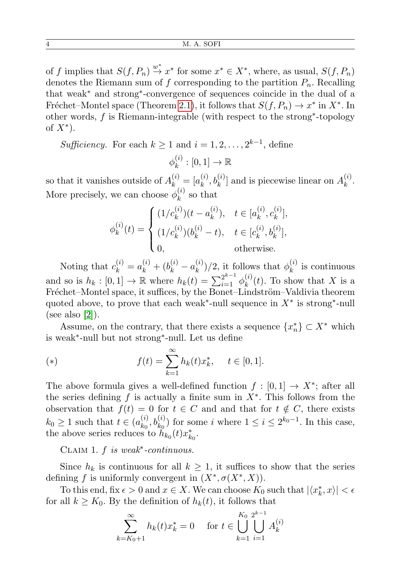of f implies that  $S(f, P_n) \stackrel{w^*}{\rightarrow} x^*$  for some  $x^* \in X^*$ , where, as usual,  $S(f, P_n)$ denotes the Riemann sum of f corresponding to the partition  $P_n$ . Recalling that weak<sup>∗</sup> and strong<sup>∗</sup> -convergence of sequences coincide in the dual of a Fréchet–Montel space (Theorem [2.1\)](#page-1-0), it follows that  $S(f, P_n) \to x^*$  in  $X^*$ . In other words, f is Riemann-integrable (with respect to the strong<sup>∗</sup> -topology of  $X^*$ ).

Sufficiency. For each  $k \geq 1$  and  $i = 1, 2, \ldots, 2^{k-1}$ , define

$$
\phi_k^{(i)} : [0,1] \to \mathbb{R}
$$

so that it vanishes outside of  $A_k^{(i)} = [a_k^{(i)}]$  $\mathbf{h}_k^{(i)}, \mathbf{b}_k^{(i)}$  and is piecewise linear on  $A_k^{(i)}$  $\frac{u}{k}$ . More precisely, we can choose  $\phi_k^{(i)}$  $\kappa^{(i)}$  so that

$$
\phi_k^{(i)}(t) = \begin{cases}\n(1/c_k^{(i)})(t - a_k^{(i)}), & t \in [a_k^{(i)}, c_k^{(i)}], \\
(1/c_k^{(i)})(b_k^{(i)} - t), & t \in [c_k^{(i)}, b_k^{(i)}], \\
0, & \text{otherwise.} \n\end{cases}
$$

Noting that  $c_k^{(i)} = a_k^{(i)} + (b_k^{(i)} - a_k^{(i)})$  $\binom{(i)}{k}/2$ , it follows that  $\phi_k^{(i)}$  $\kappa_k^{(i)}$  is continuous and so is  $h_k : [0,1] \to \mathbb{R}$  where  $h_k(t) = \sum_{i=1}^{2^{k-1}} \phi_k^{(i)}$  $\chi_k^{(i)}(t)$ . To show that X is a Fréchet–Montel space, it suffices, by the Bonet–Lindström–Valdivia theorem quoted above, to prove that each weak<sup>\*</sup>-null sequence in  $X^*$  is strong<sup>\*</sup>-null (see also [\[2\]](#page-5-6)).

Assume, on the contrary, that there exists a sequence  $\{x_n^*\} \subset X^*$  which is weak<sup>∗</sup> -null but not strong<sup>∗</sup> -null. Let us define

(\*) 
$$
f(t) = \sum_{k=1}^{\infty} h_k(t) x_k^*, \quad t \in [0, 1].
$$

The above formula gives a well-defined function  $f : [0,1] \rightarrow X^*$ ; after all the series defining f is actually a finite sum in  $X^*$ . This follows from the observation that  $f(t) = 0$  for  $t \in C$  and and that for  $t \notin C$ , there exists  $k_0 \geq 1$  such that  $t \in (a_{k_0}^{(i)})$  $(k_0, b_{k_0}^{(i)})$  for some i where  $1 \leq i \leq 2^{k_0-1}$ . In this case, the above series reduces to  $\ddot{h}_{k_0}(t)x_{k_0}^*$ .

CLAIM 1.  $f$  is weak<sup>\*</sup>-continuous.

Since  $h_k$  is continuous for all  $k \geq 1$ , it suffices to show that the series defining f is uniformly convergent in  $(X^*, \sigma(X^*, X))$ .

To this end, fix  $\epsilon > 0$  and  $x \in X$ . We can choose  $K_0$  such that  $|\langle x_k^*, x \rangle| < \epsilon$ for all  $k \geq K_0$ . By the definition of  $h_k(t)$ , it follows that

$$
\sum_{k=K_0+1}^{\infty} h_k(t)x_k^* = 0 \quad \text{ for } t \in \bigcup_{k=1}^{K_0} \bigcup_{i=1}^{2^{k-1}} A_k^{(i)}
$$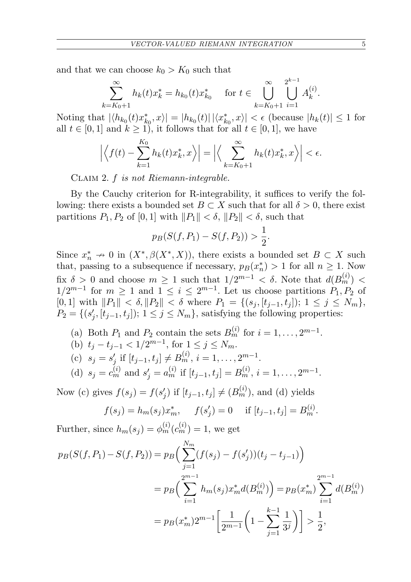and that we can choose  $k_0 > K_0$  such that

$$
\sum_{k=K_0+1}^{\infty} h_k(t)x_k^* = h_{k_0}(t)x_{k_0}^* \quad \text{ for } t \in \bigcup_{k=K_0+1}^{\infty} \bigcup_{i=1}^{2^{k-1}} A_k^{(i)}.
$$

Noting that  $|\langle h_{k_0}(t)x_{k_0}^*,x\rangle|=|h_{k_0}(t)| \, |\langle x_{k_0}^*,x\rangle| < \epsilon$  (because  $|h_k(t)| \leq 1$  for all  $t \in [0, 1]$  and  $k \ge 1$ , it follows that for all  $t \in [0, 1]$ , we have

$$
\left| \left\langle f(t) - \sum_{k=1}^{K_0} h_k(t) x_k^*, x \right\rangle \right| = \left| \left\langle \sum_{k=K_0+1}^{\infty} h_k(t) x_k^*, x \right\rangle \right| < \epsilon.
$$

Claim 2. f is not Riemann-integrable.

By the Cauchy criterion for R-integrability, it suffices to verify the following: there exists a bounded set  $B \subset X$  such that for all  $\delta > 0$ , there exist partitions  $P_1, P_2$  of  $[0, 1]$  with  $||P_1|| < \delta$ ,  $||P_2|| < \delta$ , such that

$$
p_B(S(f, P_1) - S(f, P_2)) > \frac{1}{2}.
$$

Since  $x_n^* \nightharpoonup 0$  in  $(X^*, \beta(X^*, X))$ , there exists a bounded set  $B \subset X$  such that, passing to a subsequence if necessary,  $p_B(x_n^*) > 1$  for all  $n \geq 1$ . Now fix  $\delta > 0$  and choose  $m \geq 1$  such that  $1/2^{m-1} < \delta$ . Note that  $d(B_m^{(i)}) <$  $1/2^{m-1}$  for  $m \ge 1$  and  $1 \le i \le 2^{m-1}$ . Let us choose partitions  $P_1, P_2$  of [0, 1] with  $||P_1|| < \delta$ ,  $||P_2|| < \delta$  where  $P_1 = \{(s_j, [t_{j-1}, t_j]); 1 \le j \le N_m\},\$  $P_2 = \{(s'_j, [t_{j-1}, t_j]); 1 \le j \le N_m\}$ , satisfying the following properties:

(a) Both  $P_1$  and  $P_2$  contain the sets  $B_m^{(i)}$  for  $i = 1, \ldots, 2^{m-1}$ .

(b) 
$$
t_j - t_{j-1} < 1/2^{m-1}
$$
, for  $1 \le j \le N_m$ .

(c) 
$$
s_j = s'_j
$$
 if  $[t_{j-1}, t_j] \neq B_m^{(i)}, i = 1, ..., 2^{m-1}$ .

(d) 
$$
s_j = c_m^{(i)}
$$
 and  $s'_j = a_m^{(i)}$  if  $[t_{j-1}, t_j] = B_m^{(i)}, i = 1, ..., 2^{m-1}$ .

Now (c) gives  $f(s_j) = f(s'_j)$  if  $[t_{j-1}, t_j] \neq (B_m^{(i)})$ , and (d) yields

$$
f(s_j) = h_m(s_j)x_m^*,
$$
  $f(s'_j) = 0$  if  $[t_{j-1}, t_j] = B_m^{(i)}$ .

Further, since  $h_m(s_j) = \phi_m^{(i)}(c_m^{(i)}) = 1$ , we get

$$
p_B(S(f, P_1) - S(f, P_2)) = p_B\left(\sum_{j=1}^{N_m} (f(s_j) - f(s'_j))(t_j - t_{j-1})\right)
$$
  
= 
$$
p_B\left(\sum_{i=1}^{2^{m-1}} h_m(s_j)x_m^*d(B_m^{(i)})\right) = p_B(x_m^*)\sum_{i=1}^{2^{m-1}} d(B_m^{(i)})
$$
  
= 
$$
p_B(x_m^*)2^{m-1}\left[\frac{1}{2^{m-1}}\left(1 - \sum_{j=1}^{k-1} \frac{1}{3^j}\right)\right] > \frac{1}{2},
$$

k−1